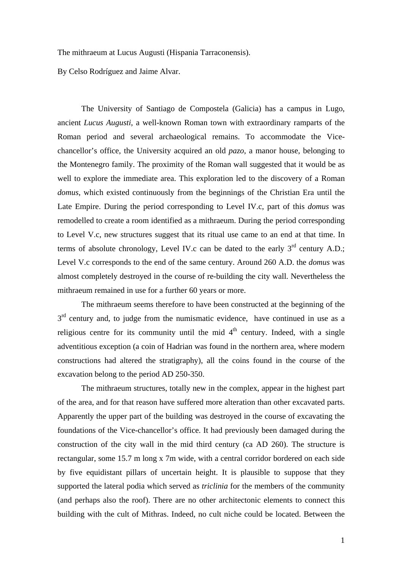The mithraeum at Lucus Augusti (Hispania Tarraconensis).

By Celso Rodríguez and Jaime Alvar.

The University of Santiago de Compostela (Galicia) has a campus in Lugo, ancient *Lucus Augusti*, a well-known Roman town with extraordinary ramparts of the Roman period and several archaeological remains. To accommodate the Vicechancellor's office, the University acquired an old *pazo*, a manor house, belonging to the Montenegro family. The proximity of the Roman wall suggested that it would be as well to explore the immediate area. This exploration led to the discovery of a Roman *domus*, which existed continuously from the beginnings of the Christian Era until the Late Empire. During the period corresponding to Level IV.c, part of this *domus* was remodelled to create a room identified as a mithraeum. During the period corresponding to Level V.c, new structures suggest that its ritual use came to an end at that time. In terms of absolute chronology, Level IV.c can be dated to the early  $3<sup>rd</sup>$  century A.D.; Level V.c corresponds to the end of the same century. Around 260 A.D. the *domus* was almost completely destroyed in the course of re-building the city wall. Nevertheless the mithraeum remained in use for a further 60 years or more.

The mithraeum seems therefore to have been constructed at the beginning of the 3<sup>rd</sup> century and, to judge from the numismatic evidence, have continued in use as a religious centre for its community until the mid  $4<sup>th</sup>$  century. Indeed, with a single adventitious exception (a coin of Hadrian was found in the northern area, where modern constructions had altered the stratigraphy), all the coins found in the course of the excavation belong to the period AD 250-350.

The mithraeum structures, totally new in the complex, appear in the highest part of the area, and for that reason have suffered more alteration than other excavated parts. Apparently the upper part of the building was destroyed in the course of excavating the foundations of the Vice-chancellor's office. It had previously been damaged during the construction of the city wall in the mid third century (ca AD 260). The structure is rectangular, some 15.7 m long x 7m wide, with a central corridor bordered on each side by five equidistant pillars of uncertain height. It is plausible to suppose that they supported the lateral podia which served as *triclinia* for the members of the community (and perhaps also the roof). There are no other architectonic elements to connect this building with the cult of Mithras. Indeed, no cult niche could be located. Between the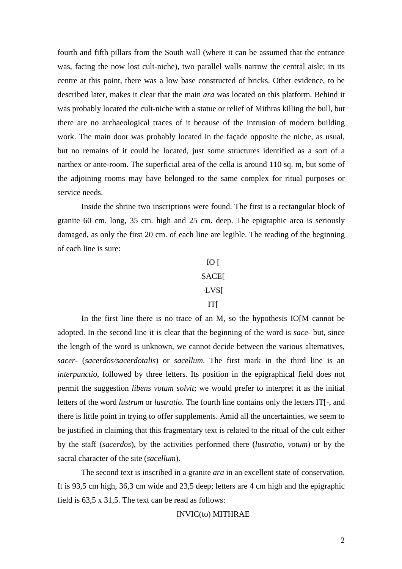fourth and fifth pillars from the South wall (where it can be assumed that the entrance was, facing the now lost cult-niche), two parallel walls narrow the central aisle; in its centre at this point, there was a low base constructed of bricks. Other evidence, to be described later, makes it clear that the main *ara* was located on this platform. Behind it was probably located the cult-niche with a statue or relief of Mithras killing the bull, but there are no archaeological traces of it because of the intrusion of modern building work. The main door was probably located in the façade opposite the niche, as usual, but no remains of it could be located, just some structures identified as a sort of a narthex or ante-room. The superficial area of the cella is around 110 sq. m, but some of the adjoining rooms may have belonged to the same complex for ritual purposes or service needs.

Inside the shrine two inscriptions were found. The first is a rectangular block of granite 60 cm. long, 35 cm. high and 25 cm. deep. The epigraphic area is seriously damaged, as only the first 20 cm. of each line are legible. The reading of the beginning of each line is sure:

## $IO$   $\Gamma$

## **SACE[**

## ·LVS[

## IT[

In the first line there is no trace of an M, so the hypothesis IO[M cannot be adopted. In the second line it is clear that the beginning of the word is *sace-* but, since the length of the word is unknown, we cannot decide between the various alternatives, *sacer-* (*sacerdos/sacerdotalis*) or *sacellum*. The first mark in the third line is an *interpunctio*, followed by three letters. Its position in the epigraphical field does not permit the suggestion *libens votum solvit*; we would prefer to interpret it as the initial letters of the word *lustrum* or *lustratio*. The fourth line contains only the letters IT[-, and there is little point in trying to offer supplements. Amid all the uncertainties, we seem to be justified in claiming that this fragmentary text is related to the ritual of the cult either by the staff (*sacerdos*), by the activities performed there (*lustratio*, *votum*) or by the sacral character of the site (*sacellum*).

The second text is inscribed in a granite *ara* in an excellent state of conservation. It is 93,5 cm high, 36,3 cm wide and 23,5 deep; letters are 4 cm high and the epigraphic field is 63,5 x 31,5. The text can be read as follows:

INVIC(to) MITHRAE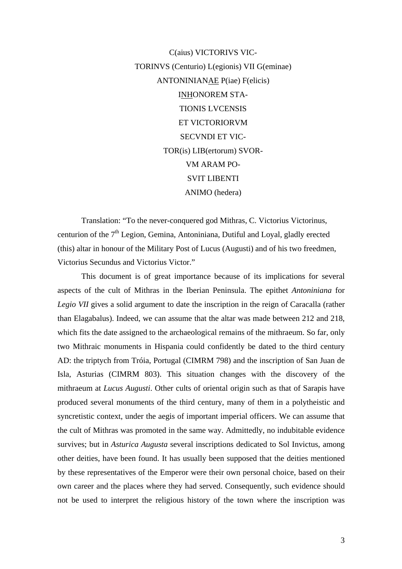C(aius) VICTORIVS VIC-TORINVS (Centurio) L(egionis) VII G(eminae) ANTONINIANAE P(iae) F(elicis) INHONOREM STA-TIONIS LVCENSIS ET VICTORIORVM SECVNDI ET VIC-TOR(is) LIB(ertorum) SVOR-VM ARAM PO-SVIT LIBENTI ANIMO (hedera)

Translation: "To the never-conquered god Mithras, C. Victorius Victorinus, centurion of the  $7<sup>th</sup>$  Legion, Gemina, Antoniniana, Dutiful and Loyal, gladly erected (this) altar in honour of the Military Post of Lucus (Augusti) and of his two freedmen, Victorius Secundus and Victorius Victor."

This document is of great importance because of its implications for several aspects of the cult of Mithras in the Iberian Peninsula. The epithet *Antoniniana* for *Legio VII* gives a solid argument to date the inscription in the reign of Caracalla (rather than Elagabalus). Indeed, we can assume that the altar was made between 212 and 218, which fits the date assigned to the archaeological remains of the mithraeum. So far, only two Mithraic monuments in Hispania could confidently be dated to the third century AD: the triptych from Tróia, Portugal (CIMRM 798) and the inscription of San Juan de Isla, Asturias (CIMRM 803). This situation changes with the discovery of the mithraeum at *Lucus Augusti*. Other cults of oriental origin such as that of Sarapis have produced several monuments of the third century, many of them in a polytheistic and syncretistic context, under the aegis of important imperial officers. We can assume that the cult of Mithras was promoted in the same way. Admittedly, no indubitable evidence survives; but in *Asturica Augusta* several inscriptions dedicated to Sol Invictus, among other deities, have been found. It has usually been supposed that the deities mentioned by these representatives of the Emperor were their own personal choice, based on their own career and the places where they had served. Consequently, such evidence should not be used to interpret the religious history of the town where the inscription was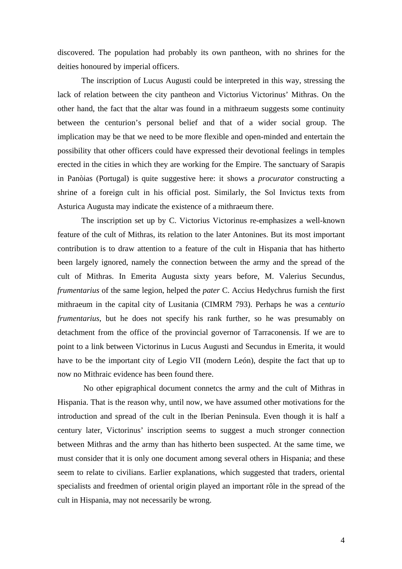discovered. The population had probably its own pantheon, with no shrines for the deities honoured by imperial officers.

The inscription of Lucus Augusti could be interpreted in this way, stressing the lack of relation between the city pantheon and Victorius Victorinus' Mithras. On the other hand, the fact that the altar was found in a mithraeum suggests some continuity between the centurion's personal belief and that of a wider social group. The implication may be that we need to be more flexible and open-minded and entertain the possibility that other officers could have expressed their devotional feelings in temples erected in the cities in which they are working for the Empire. The sanctuary of Sarapis in Panòias (Portugal) is quite suggestive here: it shows a *procurator* constructing a shrine of a foreign cult in his official post. Similarly, the Sol Invictus texts from Asturica Augusta may indicate the existence of a mithraeum there.

The inscription set up by C. Victorius Victorinus re-emphasizes a well-known feature of the cult of Mithras, its relation to the later Antonines. But its most important contribution is to draw attention to a feature of the cult in Hispania that has hitherto been largely ignored, namely the connection between the army and the spread of the cult of Mithras. In Emerita Augusta sixty years before, M. Valerius Secundus, *frumentarius* of the same legion, helped the *pater* C. Accius Hedychrus furnish the first mithraeum in the capital city of Lusitania (CIMRM 793). Perhaps he was a *centurio frumentarius*, but he does not specify his rank further, so he was presumably on detachment from the office of the provincial governor of Tarraconensis. If we are to point to a link between Victorinus in Lucus Augusti and Secundus in Emerita, it would have to be the important city of Legio VII (modern León), despite the fact that up to now no Mithraic evidence has been found there.

No other epigraphical document connetcs the army and the cult of Mithras in Hispania. That is the reason why, until now, we have assumed other motivations for the introduction and spread of the cult in the Iberian Peninsula. Even though it is half a century later, Victorinus' inscription seems to suggest a much stronger connection between Mithras and the army than has hitherto been suspected. At the same time, we must consider that it is only one document among several others in Hispania; and these seem to relate to civilians. Earlier explanations, which suggested that traders, oriental specialists and freedmen of oriental origin played an important rôle in the spread of the cult in Hispania, may not necessarily be wrong.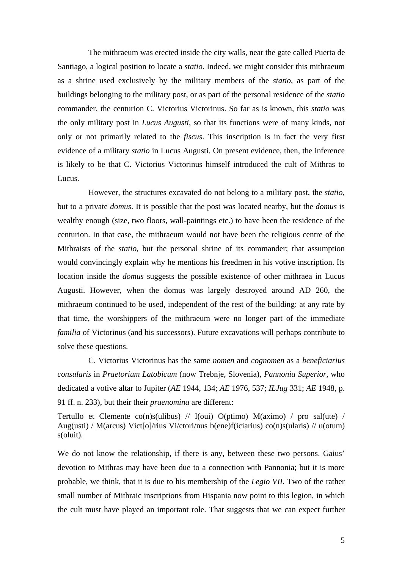The mithraeum was erected inside the city walls, near the gate called Puerta de Santiago, a logical position to locate a *statio.* Indeed, we might consider this mithraeum as a shrine used exclusively by the military members of the *statio*, as part of the buildings belonging to the military post, or as part of the personal residence of the *statio*  commander, the centurion C. Victorius Victorinus. So far as is known, this *statio* was the only military post in *Lucus Augusti*, so that its functions were of many kinds, not only or not primarily related to the *fiscus*. This inscription is in fact the very first evidence of a military *statio* in Lucus Augusti. On present evidence, then, the inference is likely to be that C. Victorius Victorinus himself introduced the cult of Mithras to Lucus.

However, the structures excavated do not belong to a military post, the *statio*, but to a private *domus*. It is possible that the post was located nearby, but the *domus* is wealthy enough (size, two floors, wall-paintings etc.) to have been the residence of the centurion. In that case, the mithraeum would not have been the religious centre of the Mithraists of the *statio*, but the personal shrine of its commander; that assumption would convincingly explain why he mentions his freedmen in his votive inscription. Its location inside the *domus* suggests the possible existence of other mithraea in Lucus Augusti. However, when the domus was largely destroyed around AD 260, the mithraeum continued to be used, independent of the rest of the building: at any rate by that time, the worshippers of the mithraeum were no longer part of the immediate *familia* of Victorinus (and his successors). Future excavations will perhaps contribute to solve these questions.

C. Victorius Victorinus has the same *nomen* and *cognomen* as a *beneficiarius consularis* in *Praetorium Latobicum* (now Trebnje, Slovenia), *Pannonia Superior*, who dedicated a votive altar to Jupiter (*AE* 1944, 134; *AE* 1976, 537; *ILJug* 331; *AE* 1948, p. 91 ff. n. 233), but their their *praenomina* are different:

Tertullo et Clemente co(n)s(ulibus) // I(oui) O(ptimo)  $M(aximo)$  / pro sal(ute) / Aug(usti) / M(arcus) Vict[o]/rius Vi/ctori/nus b(ene)f(iciarius) co(n)s(ularis) // u(otum) s(oluit).

We do not know the relationship, if there is any, between these two persons. Gaius' devotion to Mithras may have been due to a connection with Pannonia; but it is more probable, we think, that it is due to his membership of the *Legio VII*. Two of the rather small number of Mithraic inscriptions from Hispania now point to this legion, in which the cult must have played an important role. That suggests that we can expect further